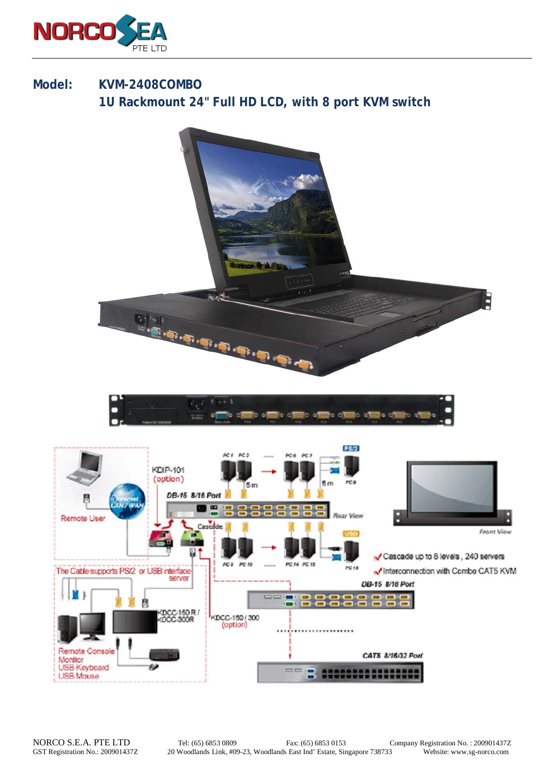

## **Model: KVM-2408COMBO 1U Rackmount 24" Full HD LCD, with 8 port KVM switch**

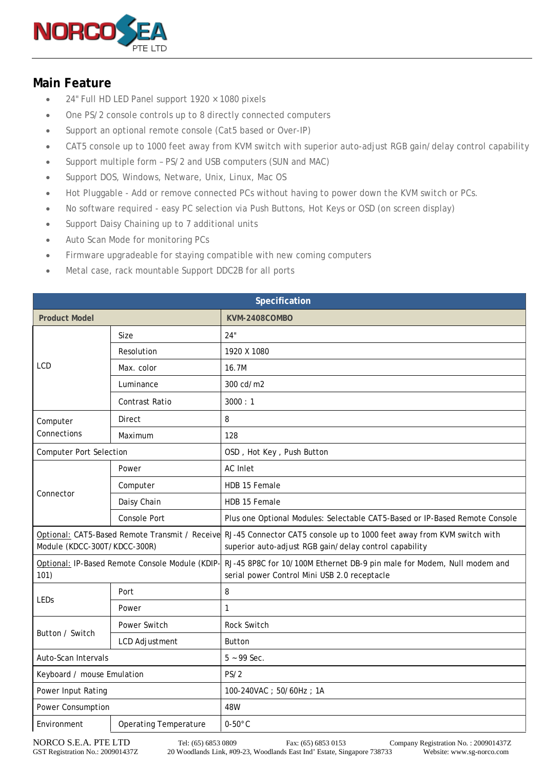

## **Main Feature**

- 24" Full HD LED Panel support  $1920 \times 1080$  pixels
- One PS/2 console controls up to 8 directly connected computers
- Support an optional remote console (Cat5 based or Over-IP)
- CAT5 console up to 1000 feet away from KVM switch with superior auto-adjust RGB gain/delay control capability
- Support multiple form PS/2 and USB computers (SUN and MAC)
- Support DOS, Windows, Netware, Unix, Linux, Mac OS
- Hot Pluggable Add or remove connected PCs without having to power down the KVM switch or PCs.
- No software required easy PC selection via Push Buttons, Hot Keys or OSD (on screen display)
- Support Daisy Chaining up to 7 additional units
- Auto Scan Mode for monitoring PCs
- Firmware upgradeable for staying compatible with new coming computers
- Metal case, rack mountable Support DDC2B for all ports

| Specification                                           |                              |                                                                                                                                                                                 |  |
|---------------------------------------------------------|------------------------------|---------------------------------------------------------------------------------------------------------------------------------------------------------------------------------|--|
| <b>Product Model</b>                                    |                              | KVM-2408COMBO                                                                                                                                                                   |  |
| <b>LCD</b>                                              | Size                         | 24"                                                                                                                                                                             |  |
|                                                         | Resolution                   | 1920 X 1080                                                                                                                                                                     |  |
|                                                         | Max. color                   | 16.7M                                                                                                                                                                           |  |
|                                                         | Luminance                    | 300 cd/m2                                                                                                                                                                       |  |
|                                                         | Contrast Ratio               | 3000:1                                                                                                                                                                          |  |
| Computer<br>Connections                                 | Direct                       | 8                                                                                                                                                                               |  |
|                                                         | Maximum                      | 128                                                                                                                                                                             |  |
| <b>Computer Port Selection</b>                          |                              | OSD, Hot Key, Push Button                                                                                                                                                       |  |
| Connector                                               | Power                        | <b>AC</b> Inlet                                                                                                                                                                 |  |
|                                                         | Computer                     | HDB 15 Female                                                                                                                                                                   |  |
|                                                         | Daisy Chain                  | HDB 15 Female                                                                                                                                                                   |  |
|                                                         | <b>Console Port</b>          | Plus one Optional Modules: Selectable CAT5-Based or IP-Based Remote Console                                                                                                     |  |
| Module (KDCC-300T/KDCC-300R)                            |                              | Optional: CAT5-Based Remote Transmit / Receive RJ-45 Connector CAT5 console up to 1000 feet away from KVM switch with<br>superior auto-adjust RGB gain/delay control capability |  |
| Optional: IP-Based Remote Console Module (KDIP-<br>101) |                              | RJ-45 8P8C for 10/100M Ethernet DB-9 pin male for Modem, Null modem and<br>serial power Control Mini USB 2.0 receptacle                                                         |  |
| <b>LEDs</b>                                             | Port                         | 8                                                                                                                                                                               |  |
|                                                         | Power                        | 1                                                                                                                                                                               |  |
| Button / Switch                                         | Power Switch                 | Rock Switch                                                                                                                                                                     |  |
|                                                         | <b>LCD Adjustment</b>        | <b>Button</b>                                                                                                                                                                   |  |
| Auto-Scan Intervals                                     |                              | $5 - 99$ Sec.                                                                                                                                                                   |  |
| Keyboard / mouse Emulation                              |                              | PS/2                                                                                                                                                                            |  |
| Power Input Rating                                      |                              | 100-240VAC; 50/60Hz; 1A                                                                                                                                                         |  |
| Power Consumption                                       |                              | 48W                                                                                                                                                                             |  |
| Environment                                             | <b>Operating Temperature</b> | $0-50$ °C                                                                                                                                                                       |  |